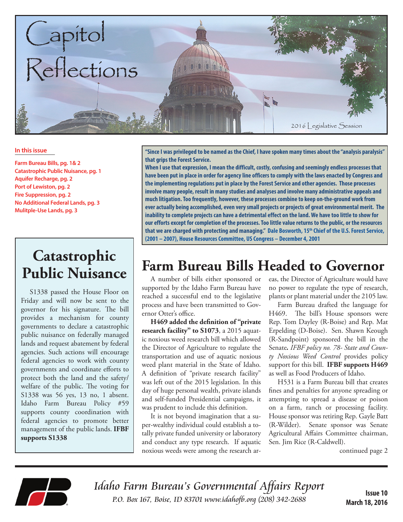

#### **In this issue**

**Farm Bureau Bills, pg. 1& 2 Catastrophic Public Nuisance, pg. 1 Aquifer Recharge, pg. 2 Port of Lewiston, pg. 2 Fire Suppression, pg. 2 No Additional Federal Lands, pg. 3 Mulitple-Use Lands, pg. 3**

# **Public Nuisance**

S1338 passed the House Floor on Friday and will now be sent to the governor for his signature. The bill provides a mechanism for county governments to declare a catastrophic public nuisance on federally managed lands and request abatement by federal agencies. Such actions will encourage federal agencies to work with county governments and coordinate efforts to protect both the land and the safety/ welfare of the public. The voting for S1338 was 56 yes, 13 no, 1 absent. Idaho Farm Bureau Policy #59 supports county coordination with federal agencies to promote better management of the public lands. **IFBF supports S1338**

**"Since I was privileged to be named as the Chief, I have spoken many times about the "analysis paralysis" that grips the Forest Service.**

**When I use that expression, I mean the difficult, costly, confusing and seemingly endless processes that have been put in place in order for agency line officers to comply with the laws enacted by Congress and the implementing regulations put in place by the Forest Service and other agencies. Those processes involve many people, result in many studies and analyses and involve many administrative appeals and much litigation. Too frequently, however, these processes combine to keep on-the-ground work from ever actually being accomplished, even very small projects or projects of great environmental merit. The inability to complete projects can have a detrimental effect on the land. We have too little to show for our efforts except for completion of the processes. Too little value returns to the public, or the resources**  that we are charged with protecting and managing." Dale Bosworth, 15<sup>th</sup> Chief of the U.S. Forest Service, **(2001 – 2007), House Resources Committee, US Congress – December 4, 2001**

## **Farm Bureau Bills Headed to Governor Catastrophic**

A number of bills either sponsored or supported by the Idaho Farm Bureau have reached a successful end to the legislative process and have been transmitted to Governor Otter's office.

**H469 added the definition of "private research facility" to S1073**, a 2015 aquatic noxious weed research bill which allowed the Director of Agriculture to regulate the transportation and use of aquatic noxious weed plant material in the State of Idaho. A definition of "private research facility" was left out of the 2015 legislation. In this day of huge personal wealth, private islands and self-funded Presidential campaigns, it was prudent to include this definition.

It is not beyond imagination that a super-wealthy individual could establish a totally private funded university or laboratory and conduct any type research. If aquatic noxious weeds were among the research areas, the Director of Agriculture would have no power to regulate the type of research, plants or plant material under the 2105 law.

Farm Bureau drafted the language for H469. The bill's House sponsors were Rep. Tom Dayley (R-Boise) and Rep. Mat Erpelding (D-Boise). Sen. Shawn Keough (R-Sandpoint) sponsored the bill in the Senate*. IFBF policy no. 78- State and County Noxious Weed Control* provides policy support for this bill. **IFBF supports H469**  as well as Food Producers of Idaho.

H531 is a Farm Bureau bill that creates fines and penalties for anyone spreading or attempting to spread a disease or poison on a farm, ranch or processing facility. House sponsor was retiring Rep. Gayle Batt (R-Wilder). Senate sponsor was Senate Agricultural Affairs Committee chairman, Sen. Jim Rice (R-Caldwell).

continued page 2



Idaho Farm Bureau's Governmental Affairs Report P.O. Box 167, Boise, ID 83701 www.idahofb.org (208) 342-2688 **Issue 10**

**March 18, 2016**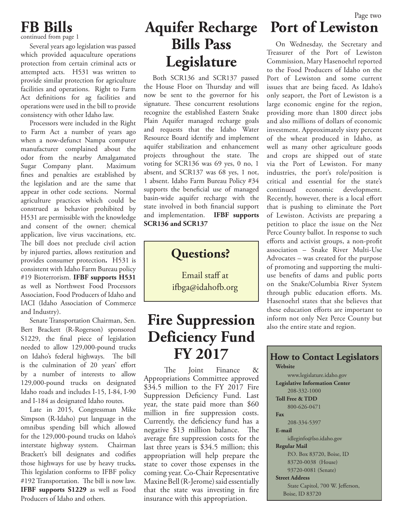### **FB Bills**

continued from page 1

Several years ago legislation was passed which provided aquaculture operations protection from certain criminal acts or attempted acts. H531 was written to provide similar protection for agriculture facilities and operations. Right to Farm Act definitions for ag facilities and operations were used in the bill to provide consistency with other Idaho law.

Processors were included in the Right to Farm Act a number of years ago when a now-defunct Nampa computer manufacturer complained about the odor from the nearby Amalgamated Sugar Company plant. Maximum fines and penalties are established by the legislation and are the same that appear in other code sections. Normal agriculture practices which could be construed as behavior prohibited by H531 are permissible with the knowledge and consent of the owner; chemical application, live virus vaccinations, etc. The bill does not preclude civil action by injured parties, allows restitution and provides consumer protection**.** H531 is consistent with Idaho Farm Bureau policy #19 Bioterrorism. **IFBF supports H531**  as well as Northwest Food Processors Association, Food Producers of Idaho and IACI (Idaho Association of Commerce and Industry).

Senate Transportation Chairman, Sen. Bert Brackett (R-Rogerson) sponsored S1229, the final piece of legislation needed to allow 129,000-pound trucks on Idaho's federal highways.The bill is the culmination of 20 years' effort by a number of interests to allow 129,000-pound trucks on designated Idaho roads and includes I-15, I-84, I-90 and I-184 as designated Idaho routes.

Late in 2015, Congressman Mike Simpson (R-Idaho) put language in the omnibus spending bill which allowed for the 129,000-pound trucks on Idaho's interstate highway system. Chairman Brackett's bill designates and codifies those highways for use by heavy trucks**.**  This legislation conforms to IFBF policy #192 Transportation. The bill is now law. **IFBF supports S1229** as well as Food Producers of Idaho and others.

### **Aquifer Recharge Port of Lewiston Bills Pass Legislature**

Both SCR136 and SCR137 passed the House Floor on Thursday and will now be sent to the governor for his signature. These concurrent resolutions recognize the established Eastern Snake Plain Aquifer managed recharge goals and requests that the Idaho Water Resource Board identify and implement aquifer stabilization and enhancement projects throughout the state. The voting for SCR136 was 69 yes, 0 no, 1 absent, and SCR137 was 68 yes, 1 not, 1 absent. Idaho Farm Bureau Policy #34 supports the beneficial use of managed basin-wide aquifer recharge with the state involved in both financial support and implementation. **IFBF supports SCR136 and SCR137**



Email staff at ifbga@idahofb.org

#### **Fire Suppression Deficiency Fund FY 2017 How to Contact Legislators**

The Joint Finance & Appropriations Committee approved \$34.5 million to the FY 2017 Fire Suppression Deficiency Fund. Last year, the state paid more than \$60 million in fire suppression costs. Currently, the deficiency fund has a negative \$13 million balance. The average fire suppression costs for the last three years is \$34.5 million; this appropriation will help prepare the state to cover those expenses in the coming year. Co-Chair Representative Maxine Bell (R-Jerome) said essentially that the state was investing in fire insurance with this appropriation.

## Page two

On Wednesday, the Secretary and Treasurer of the Port of Lewiston Commission, Mary Hasenoehrl reported to the Food Producers of Idaho on the Port of Lewiston and some current issues that are being faced. As Idaho's only seaport, the Port of Lewiston is a large economic engine for the region, providing more than 1800 direct jobs and also millions of dollars of economic investment. Approximately sixty percent of the wheat produced in Idaho, as well as many other agriculture goods and crops are shipped out of state via the Port of Lewiston. For many industries, the port's role/position is critical and essential for the state's continued economic development. Recently, however, there is a local effort that is pushing to eliminate the Port of Lewiston. Activists are preparing a petition to place the issue on the Nez Perce County ballot. In response to such efforts and activist groups, a non-profit association – Snake River Multi-Use Advocates – was created for the purpose of promoting and supporting the multiuse benefits of dams and public ports on the Snake/Columbia River System through public education efforts. Ms. Hasenoehrl states that she believes that these education efforts are important to inform not only Nez Perce County but also the entire state and region.

#### **Website** www.legislature.idaho.gov **Legislative Information Center**

 208-332-1000 **Toll Free & TDD** 800-626-0471 **Fax** 208-334-5397 **E-mail** idleginfo@lso.idaho.gov **Regular Mail** P.O. Box 83720, Boise, ID 83720-0038 (House) 93720-0081 (Senate) **Street Address** State Capitol, 700 W. Jefferson, Boise, ID 83720